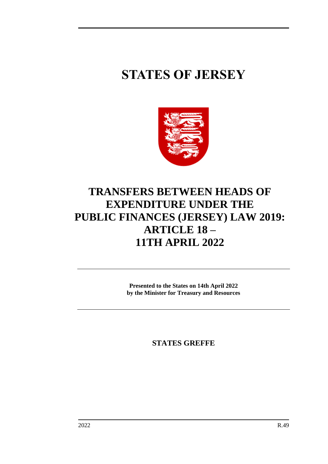## **STATES OF JERSEY**



## **TRANSFERS BETWEEN HEADS OF EXPENDITURE UNDER THE PUBLIC FINANCES (JERSEY) LAW 2019: ARTICLE 18 – 11TH APRIL 2022**

**Presented to the States on 14th April 2022 by the Minister for Treasury and Resources**

**STATES GREFFE**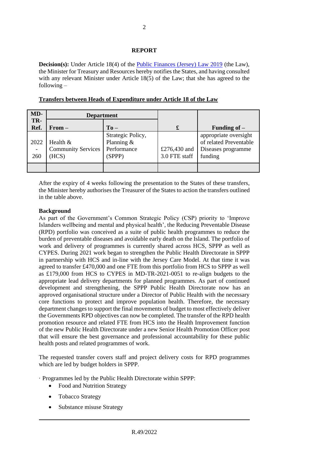## **REPORT**

**Decision(s):** Under Article 18(4) of the [Public Finances \(Jersey\) Law 2019](https://www.jerseylaw.je/laws/unofficialconsolidated/Pages/24.900.aspx) (the Law), the Minister for Treasury and Resources hereby notifies the States, and having consulted with any relevant Minister under Article 18(5) of the Law; that she has agreed to the following –

| MD-         | <b>Department</b>                               |                                                          |                               |                                                                                  |
|-------------|-------------------------------------------------|----------------------------------------------------------|-------------------------------|----------------------------------------------------------------------------------|
| TR-<br>Ref. | $From -$                                        | $To -$                                                   | £                             | Funding of $-$                                                                   |
| 2022<br>260 | Health $&$<br><b>Community Services</b><br>HCS) | Strategic Policy,<br>Planning &<br>Performance<br>(SPPP) | £276,430 and<br>3.0 FTE staff | appropriate oversight<br>of related Preventable<br>Diseases programme<br>funding |
|             |                                                 |                                                          |                               |                                                                                  |

**Transfers between Heads of Expenditure under Article 18 of the Law**

After the expiry of 4 weeks following the presentation to the States of these transfers, the Minister hereby authorises the Treasurer of the States to action the transfers outlined in the table above.

## **Background**

As part of the Government's Common Strategic Policy (CSP) priority to 'Improve Islanders wellbeing and mental and physical health', the Reducing Preventable Disease (RPD) portfolio was conceived as a suite of public health programmes to reduce the burden of preventable diseases and avoidable early death on the Island. The portfolio of work and delivery of programmes is currently shared across HCS, SPPP as well as CYPES. During 2021 work began to strengthen the Public Health Directorate in SPPP in partnership with HCS and in-line with the Jersey Care Model. At that time it was agreed to transfer £470,000 and one FTE from this portfolio from HCS to SPPP as well as £179,000 from HCS to CYPES in MD-TR-2021-0051 to re-align budgets to the appropriate lead delivery departments for planned programmes. As part of continued development and strengthening, the SPPP Public Health Directorate now has an approved organisational structure under a Director of Public Health with the necessary core functions to protect and improve population health. Therefore, the necessary department changes to support the final movements of budget to most effectively deliver the Governments RPD objectives can now be completed. The transfer of the RPD health promotion resource and related FTE from HCS into the Health Improvement function of the new Public Health Directorate under a new Senior Health Promotion Officer post that will ensure the best governance and professional accountability for these public health posts and related programmes of work.

The requested transfer covers staff and project delivery costs for RPD programmes which are led by budget holders in SPPP.

· Programmes led by the Public Health Directorate within SPPP:

- Food and Nutrition Strategy
- Tobacco Strategy
- Substance misuse Strategy